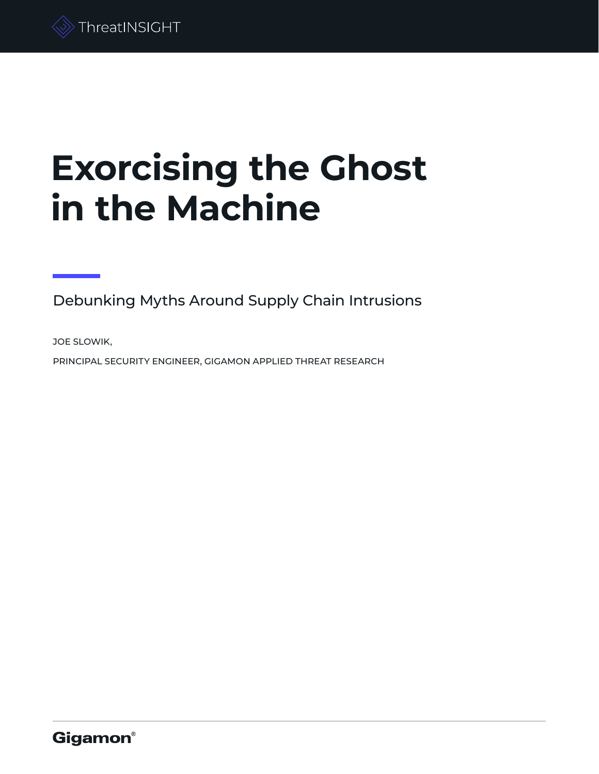# **Exorcising the Ghost in the Machine**

Debunking Myths Around Supply Chain Intrusions

JOE SLOWIK,

PRINCIPAL SECURITY ENGINEER, GIGAMON APPLIED THREAT RESEARCH

**Gigamon**®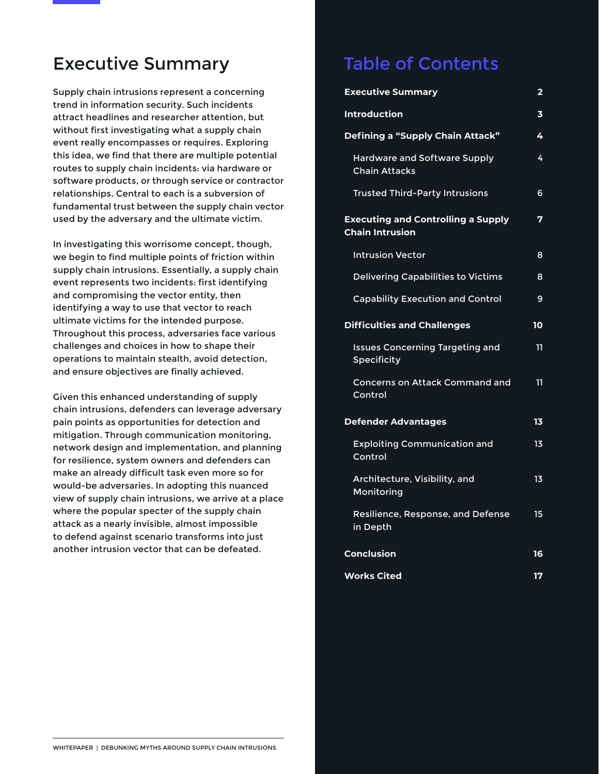### Executive Summary

Supply chain intrusions represent a concerning trend in information security. Such incidents attract headlines and researcher attention, but without first investigating what a supply chain event really encompasses or requires. Exploring this idea, we find that there are multiple potential routes to supply chain incidents: via hardware or software products, or through service or contractor relationships. Central to each is a subversion of fundamental trust between the supply chain vector used by the adversary and the ultimate victim.

In investigating this worrisome concept, though, we begin to find multiple points of friction within supply chain intrusions. Essentially, a supply chain event represents two incidents: first identifying and compromising the vector entity, then identifying a way to use that vector to reach ultimate victims for the intended purpose. Throughout this process, adversaries face various challenges and choices in how to shape their operations to maintain stealth, avoid detection, and ensure objectives are finally achieved.

Given this enhanced understanding of supply chain intrusions, defenders can leverage adversary pain points as opportunities for detection and mitigation. Through communication monitoring, network design and implementation, and planning for resilience, system owners and defenders can make an already difficult task even more so for would-be adversaries. In adopting this nuanced view of supply chain intrusions, we arrive at a place where the popular specter of the supply chain attack as a nearly invisible, almost impossible to defend against scenario transforms into just another intrusion vector that can be defeated.

### Table of Contents

| <b>Executive Summary</b>                                            | 2                       |
|---------------------------------------------------------------------|-------------------------|
| <b>Introduction</b>                                                 | $\overline{\mathbf{3}}$ |
| <b>Defining a "Supply Chain Attack"</b>                             | 4                       |
| <b>Hardware and Software Supply</b><br><b>Chain Attacks</b>         | 4                       |
| <b>Trusted Third-Party Intrusions</b>                               | 6                       |
| <b>Executing and Controlling a Supply</b><br><b>Chain Intrusion</b> | 7                       |
| <b>Intrusion Vector</b>                                             | 8                       |
| <b>Delivering Capabilities to Victims</b>                           | 8                       |
| <b>Capability Execution and Control</b>                             | 9                       |
| <b>Difficulties and Challenges</b>                                  | 10                      |
| <b>Issues Concerning Targeting and</b><br><b>Specificity</b>        | 11                      |
| <b>Concerns on Attack Command and</b><br>Control                    | 11                      |
| <b>Defender Advantages</b>                                          | 13                      |
| <b>Exploiting Communication and</b><br>Control                      | 13                      |
| Architecture, Visibility, and<br>Monitoring                         | 13                      |
| Resilience, Response, and Defense<br>in Depth                       | 15                      |
| Conclusion                                                          | 16                      |
| <b>Works Cited</b>                                                  | 17                      |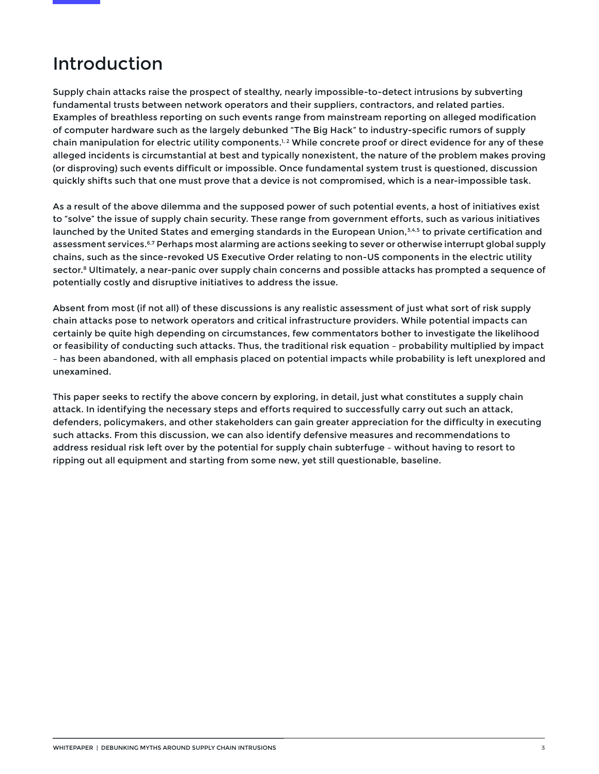### Introduction

Supply chain attacks raise the prospect of stealthy, nearly impossible-to-detect intrusions by subverting fundamental trusts between network operators and their suppliers, contractors, and related parties. Examples of breathless reporting on such events range from mainstream reporting on alleged modification of computer hardware such as the largely debunked "The Big Hack" to industry-specific rumors of supply chain manipulation for electric utility components.<sup>1,2</sup> While concrete proof or direct evidence for any of these alleged incidents is circumstantial at best and typically nonexistent, the nature of the problem makes proving (or disproving) such events difficult or impossible. Once fundamental system trust is questioned, discussion quickly shifts such that one must prove that a device is not compromised, which is a near-impossible task.

As a result of the above dilemma and the supposed power of such potential events, a host of initiatives exist to "solve" the issue of supply chain security. These range from government efforts, such as various initiatives launched by the United States and emerging standards in the European Union,<sup>3,4,5</sup> to private certification and assessment services.<sup>6,7</sup> Perhaps most alarming are actions seeking to sever or otherwise interrupt global supply chains, such as the since-revoked US Executive Order relating to non-US components in the electric utility sector.<sup>8</sup> Ultimately, a near-panic over supply chain concerns and possible attacks has prompted a sequence of potentially costly and disruptive initiatives to address the issue.

Absent from most (if not all) of these discussions is any realistic assessment of just what sort of risk supply chain attacks pose to network operators and critical infrastructure providers. While potential impacts can certainly be quite high depending on circumstances, few commentators bother to investigate the likelihood or feasibility of conducting such attacks. Thus, the traditional risk equation – probability multiplied by impact – has been abandoned, with all emphasis placed on potential impacts while probability is left unexplored and unexamined.

This paper seeks to rectify the above concern by exploring, in detail, just what constitutes a supply chain attack. In identifying the necessary steps and efforts required to successfully carry out such an attack, defenders, policymakers, and other stakeholders can gain greater appreciation for the difficulty in executing such attacks. From this discussion, we can also identify defensive measures and recommendations to address residual risk left over by the potential for supply chain subterfuge – without having to resort to ripping out all equipment and starting from some new, yet still questionable, baseline.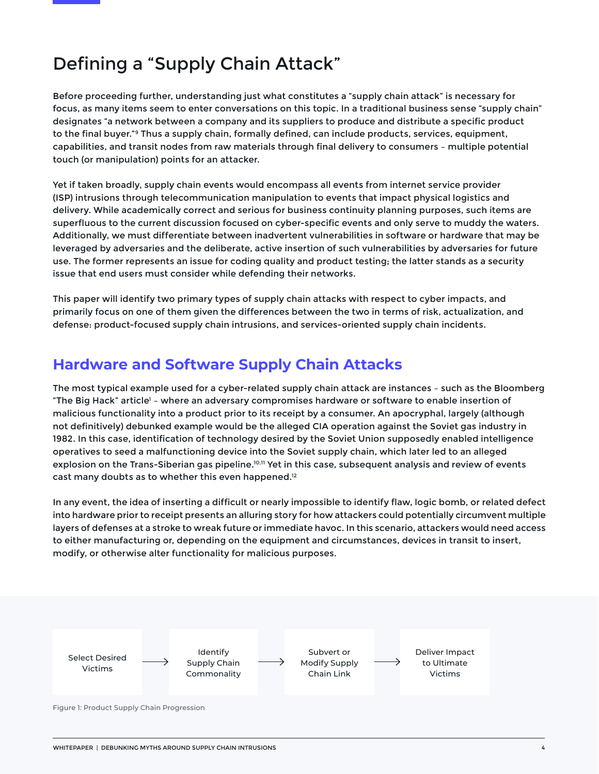# Defining a "Supply Chain Attack"

Before proceeding further, understanding just what constitutes a "supply chain attack" is necessary for focus, as many items seem to enter conversations on this topic. In a traditional business sense "supply chain" designates "a network between a company and its suppliers to produce and distribute a specific product to the final buyer."<sup>9</sup> Thus a supply chain, formally defined, can include products, services, equipment, capabilities, and transit nodes from raw materials through final delivery to consumers – multiple potential touch (or manipulation) points for an attacker.

Yet if taken broadly, supply chain events would encompass all events from internet service provider (ISP) intrusions through telecommunication manipulation to events that impact physical logistics and delivery. While academically correct and serious for business continuity planning purposes, such items are superfluous to the current discussion focused on cyber-specific events and only serve to muddy the waters. Additionally, we must differentiate between inadvertent vulnerabilities in software or hardware that may be leveraged by adversaries and the deliberate, active insertion of such vulnerabilities by adversaries for future use. The former represents an issue for coding quality and product testing; the latter stands as a security issue that end users must consider while defending their networks.

This paper will identify two primary types of supply chain attacks with respect to cyber impacts, and primarily focus on one of them given the differences between the two in terms of risk, actualization, and defense: product-focused supply chain intrusions, and services-oriented supply chain incidents.

### **Hardware and Software Supply Chain Attacks**

The most typical example used for a cyber-related supply chain attack are instances – such as the Bloomberg "The Big Hack" article<sup>1</sup> – where an adversary compromises hardware or software to enable insertion of malicious functionality into a product prior to its receipt by a consumer. An apocryphal, largely (although not definitively) debunked example would be the alleged CIA operation against the Soviet gas industry in 1982. In this case, identification of technology desired by the Soviet Union supposedly enabled intelligence operatives to seed a malfunctioning device into the Soviet supply chain, which later led to an alleged explosion on the Trans-Siberian gas pipeline.<sup>10,11</sup> Yet in this case, subsequent analysis and review of events cast many doubts as to whether this even happened.<sup>12</sup>

In any event, the idea of inserting a difficult or nearly impossible to identify flaw, logic bomb, or related defect into hardware prior to receipt presents an alluring story for how attackers could potentially circumvent multiple layers of defenses at a stroke to wreak future or immediate havoc. In this scenario, attackers would need access to either manufacturing or, depending on the equipment and circumstances, devices in transit to insert, modify, or otherwise alter functionality for malicious purposes.

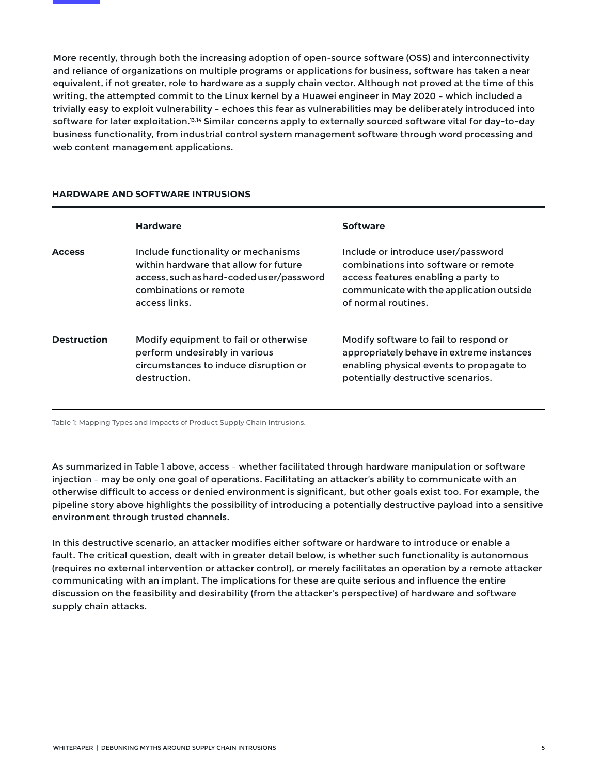More recently, through both the increasing adoption of open-source software (OSS) and interconnectivity and reliance of organizations on multiple programs or applications for business, software has taken a near equivalent, if not greater, role to hardware as a supply chain vector. Although not proved at the time of this writing, the attempted commit to the Linux kernel by a Huawei engineer in May 2020 – which included a trivially easy to exploit vulnerability – echoes this fear as vulnerabilities may be deliberately introduced into software for later exploitation.<sup>13,14</sup> Similar concerns apply to externally sourced software vital for day-to-day business functionality, from industrial control system management software through word processing and web content management applications.

|                    | <b>Hardware</b>                                                                                                                                                     | Software                                                                                                                                                                             |
|--------------------|---------------------------------------------------------------------------------------------------------------------------------------------------------------------|--------------------------------------------------------------------------------------------------------------------------------------------------------------------------------------|
| <b>Access</b>      | Include functionality or mechanisms<br>within hardware that allow for future<br>access, such as hard-coded user/password<br>combinations or remote<br>access links. | Include or introduce user/password<br>combinations into software or remote<br>access features enabling a party to<br>communicate with the application outside<br>of normal routines. |
| <b>Destruction</b> | Modify equipment to fail or otherwise<br>perform undesirably in various<br>circumstances to induce disruption or<br>destruction.                                    | Modify software to fail to respond or<br>appropriately behave in extreme instances<br>enabling physical events to propagate to<br>potentially destructive scenarios.                 |

### **HARDWARE AND SOFTWARE INTRUSIONS**

Table 1: Mapping Types and Impacts of Product Supply Chain Intrusions.

As summarized in Table 1 above, access – whether facilitated through hardware manipulation or software injection – may be only one goal of operations. Facilitating an attacker's ability to communicate with an otherwise difficult to access or denied environment is significant, but other goals exist too. For example, the pipeline story above highlights the possibility of introducing a potentially destructive payload into a sensitive environment through trusted channels.

In this destructive scenario, an attacker modifies either software or hardware to introduce or enable a fault. The critical question, dealt with in greater detail below, is whether such functionality is autonomous (requires no external intervention or attacker control), or merely facilitates an operation by a remote attacker communicating with an implant. The implications for these are quite serious and influence the entire discussion on the feasibility and desirability (from the attacker's perspective) of hardware and software supply chain attacks.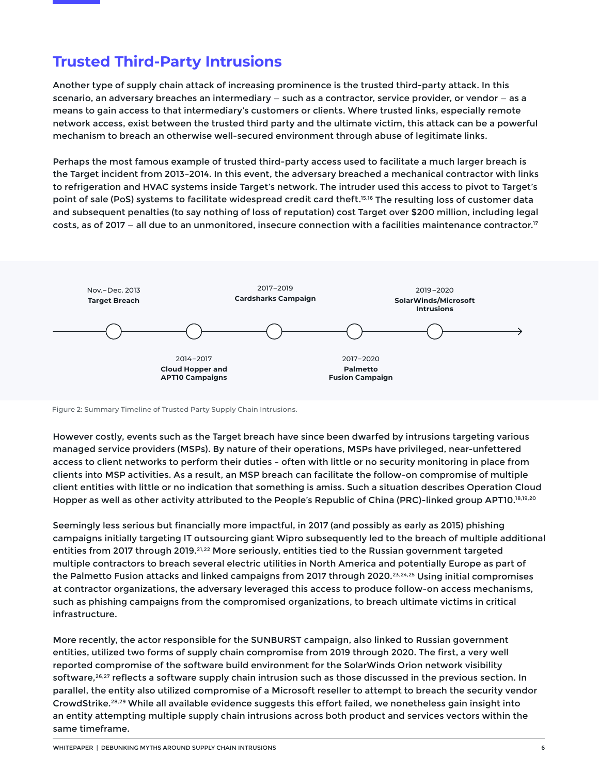### **Trusted Third-Party Intrusions**

Another type of supply chain attack of increasing prominence is the trusted third-party attack. In this scenario, an adversary breaches an intermediary — such as a contractor, service provider, or vendor — as a means to gain access to that intermediary's customers or clients. Where trusted links, especially remote network access, exist between the trusted third party and the ultimate victim, this attack can be a powerful mechanism to breach an otherwise well-secured environment through abuse of legitimate links.

Perhaps the most famous example of trusted third-party access used to facilitate a much larger breach is the Target incident from 2013–2014. In this event, the adversary breached a mechanical contractor with links to refrigeration and HVAC systems inside Target's network. The intruder used this access to pivot to Target's point of sale (PoS) systems to facilitate widespread credit card theft.<sup>15,16</sup> The resulting loss of customer data and subsequent penalties (to say nothing of loss of reputation) cost Target over \$200 million, including legal costs, as of 2017 — all due to an unmonitored, insecure connection with a facilities maintenance contractor.17



Figure 2: Summary Timeline of Trusted Party Supply Chain Intrusions.

However costly, events such as the Target breach have since been dwarfed by intrusions targeting various managed service providers (MSPs). By nature of their operations, MSPs have privileged, near-unfettered access to client networks to perform their duties – often with little or no security monitoring in place from clients into MSP activities. As a result, an MSP breach can facilitate the follow-on compromise of multiple client entities with little or no indication that something is amiss. Such a situation describes Operation Cloud Hopper as well as other activity attributed to the People's Republic of China (PRC)-linked group APT10.18,19,20

Seemingly less serious but financially more impactful, in 2017 (and possibly as early as 2015) phishing campaigns initially targeting IT outsourcing giant Wipro subsequently led to the breach of multiple additional entities from 2017 through 2019.<sup>21,22</sup> More seriously, entities tied to the Russian government targeted multiple contractors to breach several electric utilities in North America and potentially Europe as part of the Palmetto Fusion attacks and linked campaigns from 2017 through 2020.23,24,25 Using initial compromises at contractor organizations, the adversary leveraged this access to produce follow-on access mechanisms, such as phishing campaigns from the compromised organizations, to breach ultimate victims in critical infrastructure.

More recently, the actor responsible for the SUNBURST campaign, also linked to Russian government entities, utilized two forms of supply chain compromise from 2019 through 2020. The first, a very well reported compromise of the software build environment for the SolarWinds Orion network visibility software, <sup>26,27</sup> reflects a software supply chain intrusion such as those discussed in the previous section. In parallel, the entity also utilized compromise of a Microsoft reseller to attempt to breach the security vendor CrowdStrike.28,29 While all available evidence suggests this effort failed, we nonetheless gain insight into an entity attempting multiple supply chain intrusions across both product and services vectors within the same timeframe.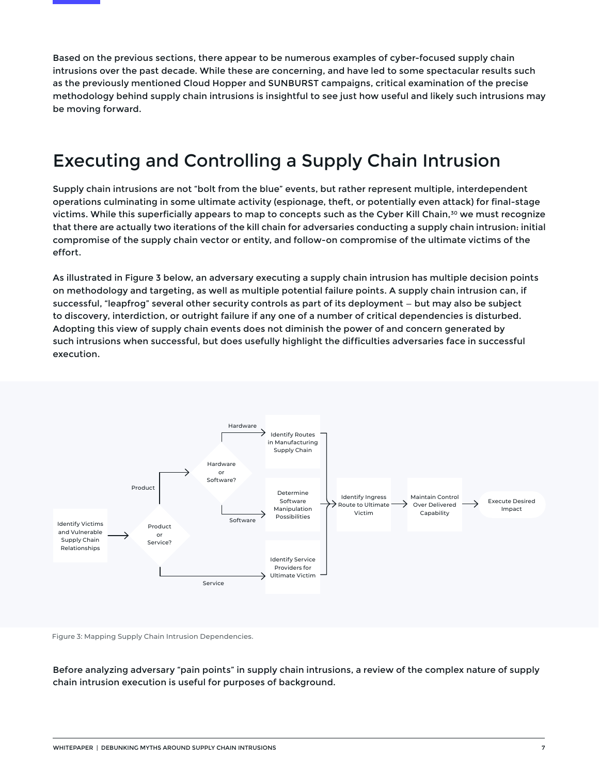Based on the previous sections, there appear to be numerous examples of cyber-focused supply chain intrusions over the past decade. While these are concerning, and have led to some spectacular results such as the previously mentioned Cloud Hopper and SUNBURST campaigns, critical examination of the precise methodology behind supply chain intrusions is insightful to see just how useful and likely such intrusions may be moving forward.

# Executing and Controlling a Supply Chain Intrusion

Supply chain intrusions are not "bolt from the blue" events, but rather represent multiple, interdependent operations culminating in some ultimate activity (espionage, theft, or potentially even attack) for final-stage victims. While this superficially appears to map to concepts such as the Cyber Kill Chain,<sup>30</sup> we must recognize that there are actually two iterations of the kill chain for adversaries conducting a supply chain intrusion: initial compromise of the supply chain vector or entity, and follow-on compromise of the ultimate victims of the effort.

As illustrated in Figure 3 below, an adversary executing a supply chain intrusion has multiple decision points on methodology and targeting, as well as multiple potential failure points. A supply chain intrusion can, if successful, "leapfrog" several other security controls as part of its deployment — but may also be subject to discovery, interdiction, or outright failure if any one of a number of critical dependencies is disturbed. Adopting this view of supply chain events does not diminish the power of and concern generated by such intrusions when successful, but does usefully highlight the difficulties adversaries face in successful execution.



Figure 3: Mapping Supply Chain Intrusion Dependencies.

Before analyzing adversary "pain points" in supply chain intrusions, a review of the complex nature of supply chain intrusion execution is useful for purposes of background.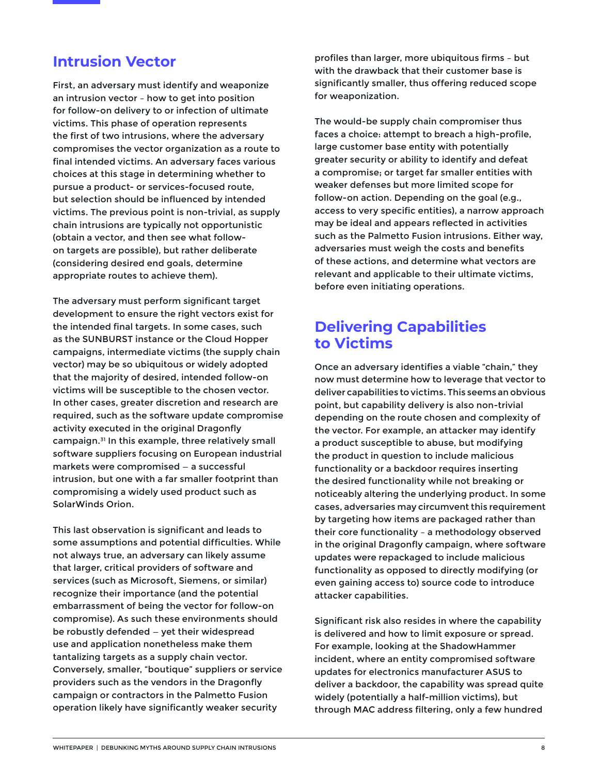### **Intrusion Vector**

First, an adversary must identify and weaponize an intrusion vector – how to get into position for follow-on delivery to or infection of ultimate victims. This phase of operation represents the first of two intrusions, where the adversary compromises the vector organization as a route to final intended victims. An adversary faces various choices at this stage in determining whether to pursue a product- or services-focused route, but selection should be influenced by intended victims. The previous point is non-trivial, as supply chain intrusions are typically not opportunistic (obtain a vector, and then see what followon targets are possible), but rather deliberate (considering desired end goals, determine appropriate routes to achieve them).

The adversary must perform significant target development to ensure the right vectors exist for the intended final targets. In some cases, such as the SUNBURST instance or the Cloud Hopper campaigns, intermediate victims (the supply chain vector) may be so ubiquitous or widely adopted that the majority of desired, intended follow-on victims will be susceptible to the chosen vector. In other cases, greater discretion and research are required, such as the software update compromise activity executed in the original Dragonfly campaign.31 In this example, three relatively small software suppliers focusing on European industrial markets were compromised — a successful intrusion, but one with a far smaller footprint than compromising a widely used product such as SolarWinds Orion.

This last observation is significant and leads to some assumptions and potential difficulties. While not always true, an adversary can likely assume that larger, critical providers of software and services (such as Microsoft, Siemens, or similar) recognize their importance (and the potential embarrassment of being the vector for follow-on compromise). As such these environments should be robustly defended — yet their widespread use and application nonetheless make them tantalizing targets as a supply chain vector. Conversely, smaller, "boutique" suppliers or service providers such as the vendors in the Dragonfly campaign or contractors in the Palmetto Fusion operation likely have significantly weaker security

profiles than larger, more ubiquitous firms – but with the drawback that their customer base is significantly smaller, thus offering reduced scope for weaponization.

The would-be supply chain compromiser thus faces a choice: attempt to breach a high-profile, large customer base entity with potentially greater security or ability to identify and defeat a compromise; or target far smaller entities with weaker defenses but more limited scope for follow-on action. Depending on the goal (e.g., access to very specific entities), a narrow approach may be ideal and appears reflected in activities such as the Palmetto Fusion intrusions. Either way, adversaries must weigh the costs and benefits of these actions, and determine what vectors are relevant and applicable to their ultimate victims, before even initiating operations.

### **Delivering Capabilities to Victims**

Once an adversary identifies a viable "chain," they now must determine how to leverage that vector to deliver capabilities to victims. This seems an obvious point, but capability delivery is also non-trivial depending on the route chosen and complexity of the vector. For example, an attacker may identify a product susceptible to abuse, but modifying the product in question to include malicious functionality or a backdoor requires inserting the desired functionality while not breaking or noticeably altering the underlying product. In some cases, adversaries may circumvent this requirement by targeting how items are packaged rather than their core functionality – a methodology observed in the original Dragonfly campaign, where software updates were repackaged to include malicious functionality as opposed to directly modifying (or even gaining access to) source code to introduce attacker capabilities.

Significant risk also resides in where the capability is delivered and how to limit exposure or spread. For example, looking at the ShadowHammer incident, where an entity compromised software updates for electronics manufacturer ASUS to deliver a backdoor, the capability was spread quite widely (potentially a half-million victims), but through MAC address filtering, only a few hundred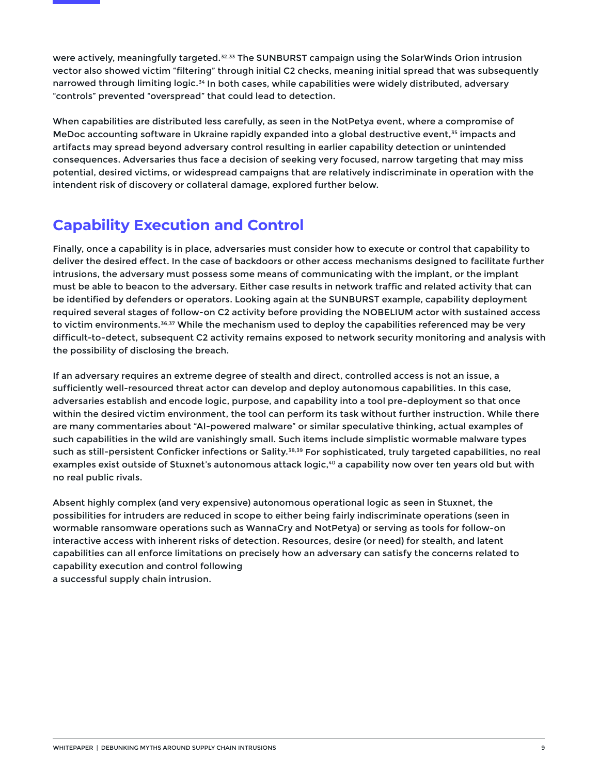were actively, meaningfully targeted.<sup>32,33</sup> The SUNBURST campaign using the SolarWinds Orion intrusion vector also showed victim "filtering" through initial C2 checks, meaning initial spread that was subsequently narrowed through limiting logic.<sup>34</sup> In both cases, while capabilities were widely distributed, adversary "controls" prevented "overspread" that could lead to detection.

When capabilities are distributed less carefully, as seen in the NotPetya event, where a compromise of MeDoc accounting software in Ukraine rapidly expanded into a global destructive event,<sup>35</sup> impacts and artifacts may spread beyond adversary control resulting in earlier capability detection or unintended consequences. Adversaries thus face a decision of seeking very focused, narrow targeting that may miss potential, desired victims, or widespread campaigns that are relatively indiscriminate in operation with the intendent risk of discovery or collateral damage, explored further below.

### **Capability Execution and Control**

Finally, once a capability is in place, adversaries must consider how to execute or control that capability to deliver the desired effect. In the case of backdoors or other access mechanisms designed to facilitate further intrusions, the adversary must possess some means of communicating with the implant, or the implant must be able to beacon to the adversary. Either case results in network traffic and related activity that can be identified by defenders or operators. Looking again at the SUNBURST example, capability deployment required several stages of follow-on C2 activity before providing the NOBELIUM actor with sustained access to victim environments.<sup>36,37</sup> While the mechanism used to deploy the capabilities referenced may be very difficult-to-detect, subsequent C2 activity remains exposed to network security monitoring and analysis with the possibility of disclosing the breach.

If an adversary requires an extreme degree of stealth and direct, controlled access is not an issue, a sufficiently well-resourced threat actor can develop and deploy autonomous capabilities. In this case, adversaries establish and encode logic, purpose, and capability into a tool pre-deployment so that once within the desired victim environment, the tool can perform its task without further instruction. While there are many commentaries about "AI-powered malware" or similar speculative thinking, actual examples of such capabilities in the wild are vanishingly small. Such items include simplistic wormable malware types such as still-persistent Conficker infections or Sality.<sup>38,39</sup> For sophisticated, truly targeted capabilities, no real examples exist outside of Stuxnet's autonomous attack logic,<sup>40</sup> a capability now over ten years old but with no real public rivals.

Absent highly complex (and very expensive) autonomous operational logic as seen in Stuxnet, the possibilities for intruders are reduced in scope to either being fairly indiscriminate operations (seen in wormable ransomware operations such as WannaCry and NotPetya) or serving as tools for follow-on interactive access with inherent risks of detection. Resources, desire (or need) for stealth, and latent capabilities can all enforce limitations on precisely how an adversary can satisfy the concerns related to capability execution and control following a successful supply chain intrusion.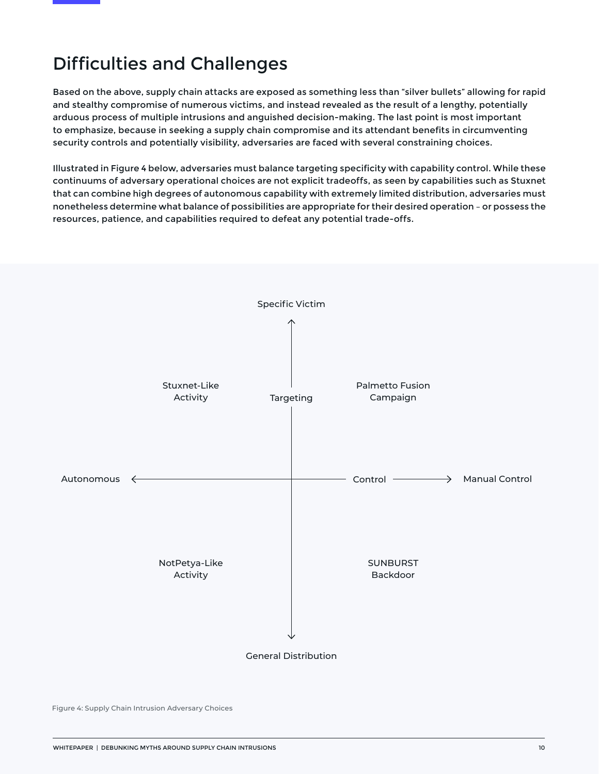### Difficulties and Challenges

Based on the above, supply chain attacks are exposed as something less than "silver bullets" allowing for rapid and stealthy compromise of numerous victims, and instead revealed as the result of a lengthy, potentially arduous process of multiple intrusions and anguished decision-making. The last point is most important to emphasize, because in seeking a supply chain compromise and its attendant benefits in circumventing security controls and potentially visibility, adversaries are faced with several constraining choices.

Illustrated in Figure 4 below, adversaries must balance targeting specificity with capability control. While these continuums of adversary operational choices are not explicit tradeoffs, as seen by capabilities such as Stuxnet that can combine high degrees of autonomous capability with extremely limited distribution, adversaries must nonetheless determine what balance of possibilities are appropriate for their desired operation – or possess the resources, patience, and capabilities required to defeat any potential trade-offs.



Figure 4: Supply Chain Intrusion Adversary Choices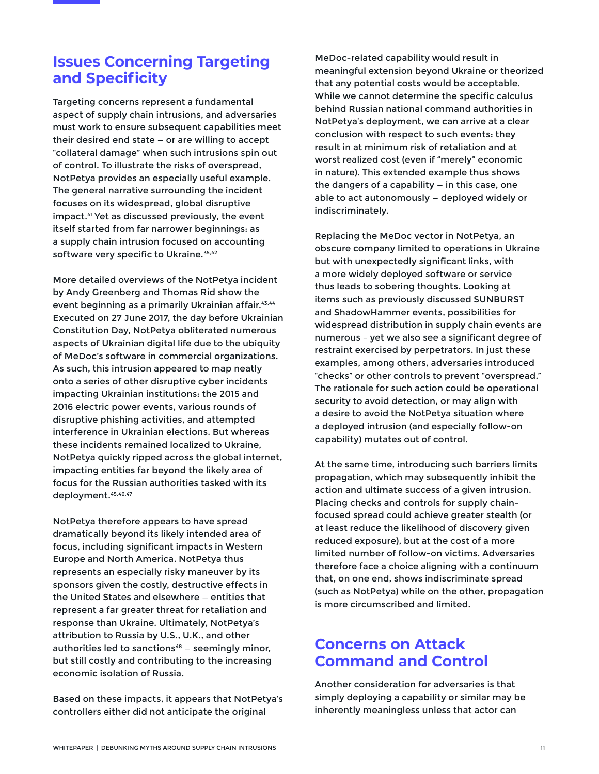### **Issues Concerning Targeting and Specificity**

Targeting concerns represent a fundamental aspect of supply chain intrusions, and adversaries must work to ensure subsequent capabilities meet their desired end state — or are willing to accept "collateral damage" when such intrusions spin out of control. To illustrate the risks of overspread, NotPetya provides an especially useful example. The general narrative surrounding the incident focuses on its widespread, global disruptive impact.41 Yet as discussed previously, the event itself started from far narrower beginnings: as a supply chain intrusion focused on accounting software very specific to Ukraine.<sup>35,42</sup>

More detailed overviews of the NotPetya incident by Andy Greenberg and Thomas Rid show the event beginning as a primarily Ukrainian affair.<sup>43,44</sup> Executed on 27 June 2017, the day before Ukrainian Constitution Day, NotPetya obliterated numerous aspects of Ukrainian digital life due to the ubiquity of MeDoc's software in commercial organizations. As such, this intrusion appeared to map neatly onto a series of other disruptive cyber incidents impacting Ukrainian institutions: the 2015 and 2016 electric power events, various rounds of disruptive phishing activities, and attempted interference in Ukrainian elections. But whereas these incidents remained localized to Ukraine, NotPetya quickly ripped across the global internet, impacting entities far beyond the likely area of focus for the Russian authorities tasked with its deployment.45,46,47

NotPetya therefore appears to have spread dramatically beyond its likely intended area of focus, including significant impacts in Western Europe and North America. NotPetya thus represents an especially risky maneuver by its sponsors given the costly, destructive effects in the United States and elsewhere — entities that represent a far greater threat for retaliation and response than Ukraine. Ultimately, NotPetya's attribution to Russia by U.S., U.K., and other authorities led to sanctions $48 -$  seemingly minor, but still costly and contributing to the increasing economic isolation of Russia.

Based on these impacts, it appears that NotPetya's controllers either did not anticipate the original

MeDoc-related capability would result in meaningful extension beyond Ukraine or theorized that any potential costs would be acceptable. While we cannot determine the specific calculus behind Russian national command authorities in NotPetya's deployment, we can arrive at a clear conclusion with respect to such events: they result in at minimum risk of retaliation and at worst realized cost (even if "merely" economic in nature). This extended example thus shows the dangers of a capability  $-$  in this case, one able to act autonomously — deployed widely or indiscriminately.

Replacing the MeDoc vector in NotPetya, an obscure company limited to operations in Ukraine but with unexpectedly significant links, with a more widely deployed software or service thus leads to sobering thoughts. Looking at items such as previously discussed SUNBURST and ShadowHammer events, possibilities for widespread distribution in supply chain events are numerous – yet we also see a significant degree of restraint exercised by perpetrators. In just these examples, among others, adversaries introduced "checks" or other controls to prevent "overspread." The rationale for such action could be operational security to avoid detection, or may align with a desire to avoid the NotPetya situation where a deployed intrusion (and especially follow-on capability) mutates out of control.

At the same time, introducing such barriers limits propagation, which may subsequently inhibit the action and ultimate success of a given intrusion. Placing checks and controls for supply chainfocused spread could achieve greater stealth (or at least reduce the likelihood of discovery given reduced exposure), but at the cost of a more limited number of follow-on victims. Adversaries therefore face a choice aligning with a continuum that, on one end, shows indiscriminate spread (such as NotPetya) while on the other, propagation is more circumscribed and limited.

### **Concerns on Attack Command and Control**

Another consideration for adversaries is that simply deploying a capability or similar may be inherently meaningless unless that actor can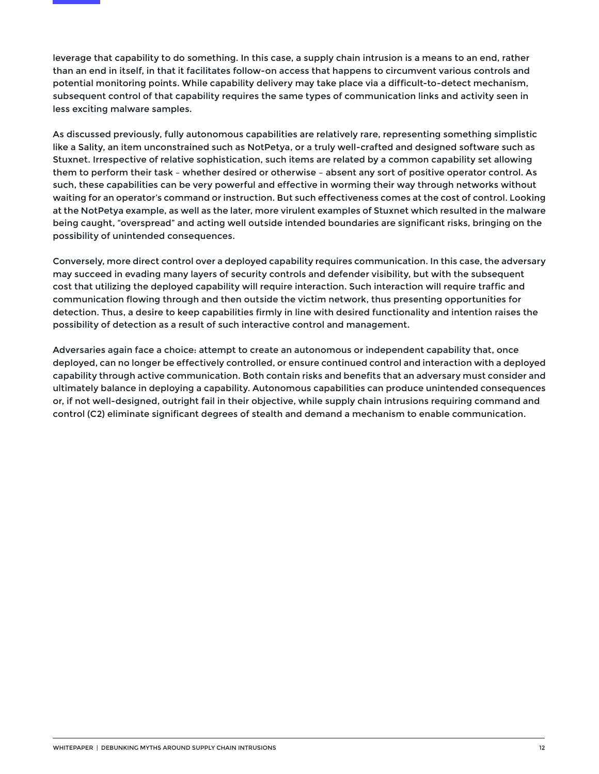leverage that capability to do something. In this case, a supply chain intrusion is a means to an end, rather than an end in itself, in that it facilitates follow-on access that happens to circumvent various controls and potential monitoring points. While capability delivery may take place via a difficult-to-detect mechanism, subsequent control of that capability requires the same types of communication links and activity seen in less exciting malware samples.

As discussed previously, fully autonomous capabilities are relatively rare, representing something simplistic like a Sality, an item unconstrained such as NotPetya, or a truly well-crafted and designed software such as Stuxnet. Irrespective of relative sophistication, such items are related by a common capability set allowing them to perform their task – whether desired or otherwise – absent any sort of positive operator control. As such, these capabilities can be very powerful and effective in worming their way through networks without waiting for an operator's command or instruction. But such effectiveness comes at the cost of control. Looking at the NotPetya example, as well as the later, more virulent examples of Stuxnet which resulted in the malware being caught, "overspread" and acting well outside intended boundaries are significant risks, bringing on the possibility of unintended consequences.

Conversely, more direct control over a deployed capability requires communication. In this case, the adversary may succeed in evading many layers of security controls and defender visibility, but with the subsequent cost that utilizing the deployed capability will require interaction. Such interaction will require traffic and communication flowing through and then outside the victim network, thus presenting opportunities for detection. Thus, a desire to keep capabilities firmly in line with desired functionality and intention raises the possibility of detection as a result of such interactive control and management.

Adversaries again face a choice: attempt to create an autonomous or independent capability that, once deployed, can no longer be effectively controlled, or ensure continued control and interaction with a deployed capability through active communication. Both contain risks and benefits that an adversary must consider and ultimately balance in deploying a capability. Autonomous capabilities can produce unintended consequences or, if not well-designed, outright fail in their objective, while supply chain intrusions requiring command and control (C2) eliminate significant degrees of stealth and demand a mechanism to enable communication.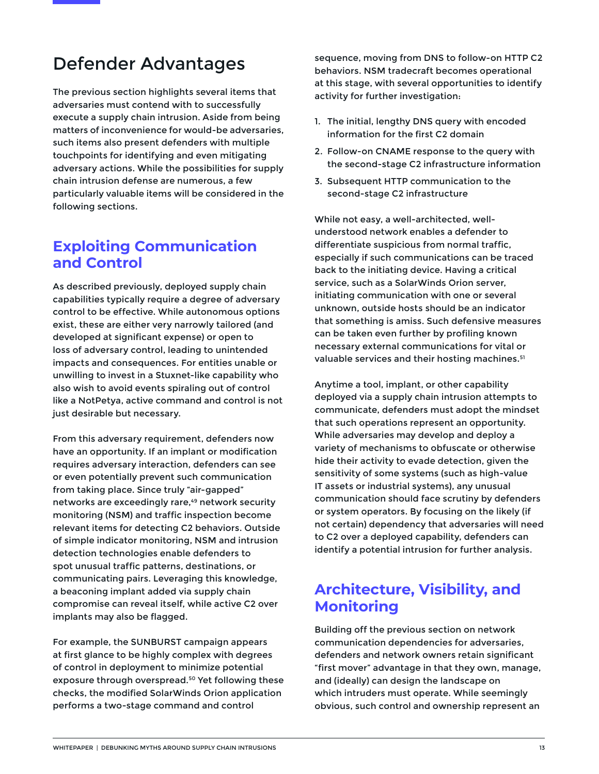### Defender Advantages

The previous section highlights several items that adversaries must contend with to successfully execute a supply chain intrusion. Aside from being matters of inconvenience for would-be adversaries, such items also present defenders with multiple touchpoints for identifying and even mitigating adversary actions. While the possibilities for supply chain intrusion defense are numerous, a few particularly valuable items will be considered in the following sections.

### **Exploiting Communication and Control**

As described previously, deployed supply chain capabilities typically require a degree of adversary control to be effective. While autonomous options exist, these are either very narrowly tailored (and developed at significant expense) or open to loss of adversary control, leading to unintended impacts and consequences. For entities unable or unwilling to invest in a Stuxnet-like capability who also wish to avoid events spiraling out of control like a NotPetya, active command and control is not just desirable but necessary.

From this adversary requirement, defenders now have an opportunity. If an implant or modification requires adversary interaction, defenders can see or even potentially prevent such communication from taking place. Since truly "air-gapped" networks are exceedingly rare,<sup>49</sup> network security monitoring (NSM) and traffic inspection become relevant items for detecting C2 behaviors. Outside of simple indicator monitoring, NSM and intrusion detection technologies enable defenders to spot unusual traffic patterns, destinations, or communicating pairs. Leveraging this knowledge, a beaconing implant added via supply chain compromise can reveal itself, while active C2 over implants may also be flagged.

For example, the SUNBURST campaign appears at first glance to be highly complex with degrees of control in deployment to minimize potential exposure through overspread.<sup>50</sup> Yet following these checks, the modified SolarWinds Orion application performs a two-stage command and control

sequence, moving from DNS to follow-on HTTP C2 behaviors. NSM tradecraft becomes operational at this stage, with several opportunities to identify activity for further investigation:

- 1. The initial, lengthy DNS query with encoded information for the first C2 domain
- 2. Follow-on CNAME response to the query with the second-stage C2 infrastructure information
- 3. Subsequent HTTP communication to the second-stage C2 infrastructure

While not easy, a well-architected, wellunderstood network enables a defender to differentiate suspicious from normal traffic, especially if such communications can be traced back to the initiating device. Having a critical service, such as a SolarWinds Orion server, initiating communication with one or several unknown, outside hosts should be an indicator that something is amiss. Such defensive measures can be taken even further by profiling known necessary external communications for vital or valuable services and their hosting machines.<sup>51</sup>

Anytime a tool, implant, or other capability deployed via a supply chain intrusion attempts to communicate, defenders must adopt the mindset that such operations represent an opportunity. While adversaries may develop and deploy a variety of mechanisms to obfuscate or otherwise hide their activity to evade detection, given the sensitivity of some systems (such as high-value IT assets or industrial systems), any unusual communication should face scrutiny by defenders or system operators. By focusing on the likely (if not certain) dependency that adversaries will need to C2 over a deployed capability, defenders can identify a potential intrusion for further analysis.

### **Architecture, Visibility, and Monitoring**

Building off the previous section on network communication dependencies for adversaries, defenders and network owners retain significant "first mover" advantage in that they own, manage, and (ideally) can design the landscape on which intruders must operate. While seemingly obvious, such control and ownership represent an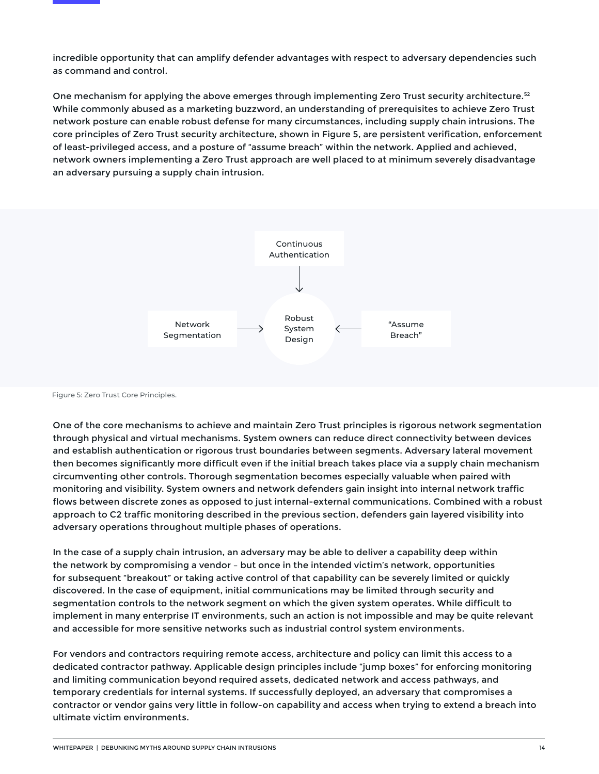incredible opportunity that can amplify defender advantages with respect to adversary dependencies such as command and control.

One mechanism for applying the above emerges through implementing Zero Trust security architecture.<sup>52</sup> While commonly abused as a marketing buzzword, an understanding of prerequisites to achieve Zero Trust network posture can enable robust defense for many circumstances, including supply chain intrusions. The core principles of Zero Trust security architecture, shown in Figure 5, are persistent verification, enforcement of least-privileged access, and a posture of "assume breach" within the network. Applied and achieved, network owners implementing a Zero Trust approach are well placed to at minimum severely disadvantage an adversary pursuing a supply chain intrusion.



Figure 5: Zero Trust Core Principles.

One of the core mechanisms to achieve and maintain Zero Trust principles is rigorous network segmentation through physical and virtual mechanisms. System owners can reduce direct connectivity between devices and establish authentication or rigorous trust boundaries between segments. Adversary lateral movement then becomes significantly more difficult even if the initial breach takes place via a supply chain mechanism circumventing other controls. Thorough segmentation becomes especially valuable when paired with monitoring and visibility. System owners and network defenders gain insight into internal network traffic flows between discrete zones as opposed to just internal-external communications. Combined with a robust approach to C2 traffic monitoring described in the previous section, defenders gain layered visibility into adversary operations throughout multiple phases of operations.

In the case of a supply chain intrusion, an adversary may be able to deliver a capability deep within the network by compromising a vendor – but once in the intended victim's network, opportunities for subsequent "breakout" or taking active control of that capability can be severely limited or quickly discovered. In the case of equipment, initial communications may be limited through security and segmentation controls to the network segment on which the given system operates. While difficult to implement in many enterprise IT environments, such an action is not impossible and may be quite relevant and accessible for more sensitive networks such as industrial control system environments.

For vendors and contractors requiring remote access, architecture and policy can limit this access to a dedicated contractor pathway. Applicable design principles include "jump boxes" for enforcing monitoring and limiting communication beyond required assets, dedicated network and access pathways, and temporary credentials for internal systems. If successfully deployed, an adversary that compromises a contractor or vendor gains very little in follow-on capability and access when trying to extend a breach into ultimate victim environments.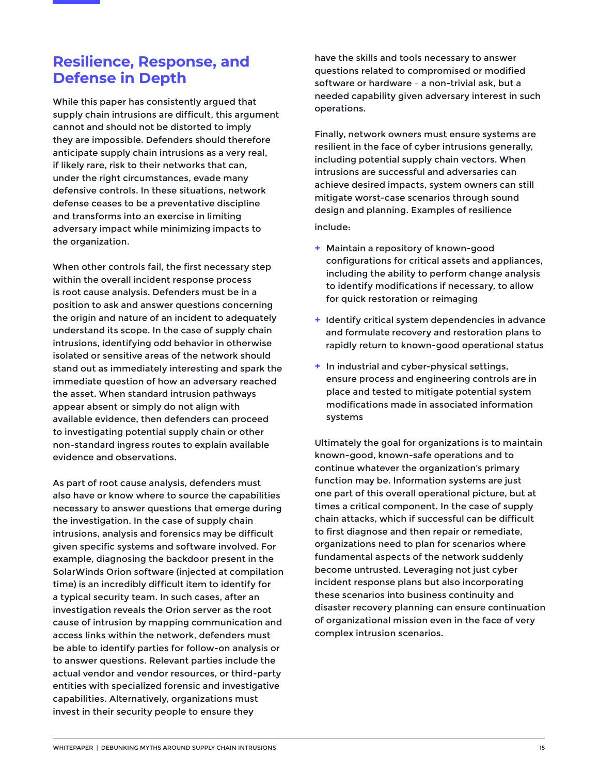### **Resilience, Response, and Defense in Depth**

While this paper has consistently argued that supply chain intrusions are difficult, this argument cannot and should not be distorted to imply they are impossible. Defenders should therefore anticipate supply chain intrusions as a very real, if likely rare, risk to their networks that can, under the right circumstances, evade many defensive controls. In these situations, network defense ceases to be a preventative discipline and transforms into an exercise in limiting adversary impact while minimizing impacts to the organization.

When other controls fail, the first necessary step within the overall incident response process is root cause analysis. Defenders must be in a position to ask and answer questions concerning the origin and nature of an incident to adequately understand its scope. In the case of supply chain intrusions, identifying odd behavior in otherwise isolated or sensitive areas of the network should stand out as immediately interesting and spark the immediate question of how an adversary reached the asset. When standard intrusion pathways appear absent or simply do not align with available evidence, then defenders can proceed to investigating potential supply chain or other non-standard ingress routes to explain available evidence and observations.

As part of root cause analysis, defenders must also have or know where to source the capabilities necessary to answer questions that emerge during the investigation. In the case of supply chain intrusions, analysis and forensics may be difficult given specific systems and software involved. For example, diagnosing the backdoor present in the SolarWinds Orion software (injected at compilation time) is an incredibly difficult item to identify for a typical security team. In such cases, after an investigation reveals the Orion server as the root cause of intrusion by mapping communication and access links within the network, defenders must be able to identify parties for follow-on analysis or to answer questions. Relevant parties include the actual vendor and vendor resources, or third-party entities with specialized forensic and investigative capabilities. Alternatively, organizations must invest in their security people to ensure they

have the skills and tools necessary to answer questions related to compromised or modified software or hardware – a non-trivial ask, but a needed capability given adversary interest in such operations.

Finally, network owners must ensure systems are resilient in the face of cyber intrusions generally, including potential supply chain vectors. When intrusions are successful and adversaries can achieve desired impacts, system owners can still mitigate worst-case scenarios through sound design and planning. Examples of resilience include:

- **+** Maintain a repository of known-good configurations for critical assets and appliances, including the ability to perform change analysis to identify modifications if necessary, to allow for quick restoration or reimaging
- **+** Identify critical system dependencies in advance and formulate recovery and restoration plans to rapidly return to known-good operational status
- **+** In industrial and cyber-physical settings, ensure process and engineering controls are in place and tested to mitigate potential system modifications made in associated information systems

Ultimately the goal for organizations is to maintain known-good, known-safe operations and to continue whatever the organization's primary function may be. Information systems are just one part of this overall operational picture, but at times a critical component. In the case of supply chain attacks, which if successful can be difficult to first diagnose and then repair or remediate, organizations need to plan for scenarios where fundamental aspects of the network suddenly become untrusted. Leveraging not just cyber incident response plans but also incorporating these scenarios into business continuity and disaster recovery planning can ensure continuation of organizational mission even in the face of very complex intrusion scenarios.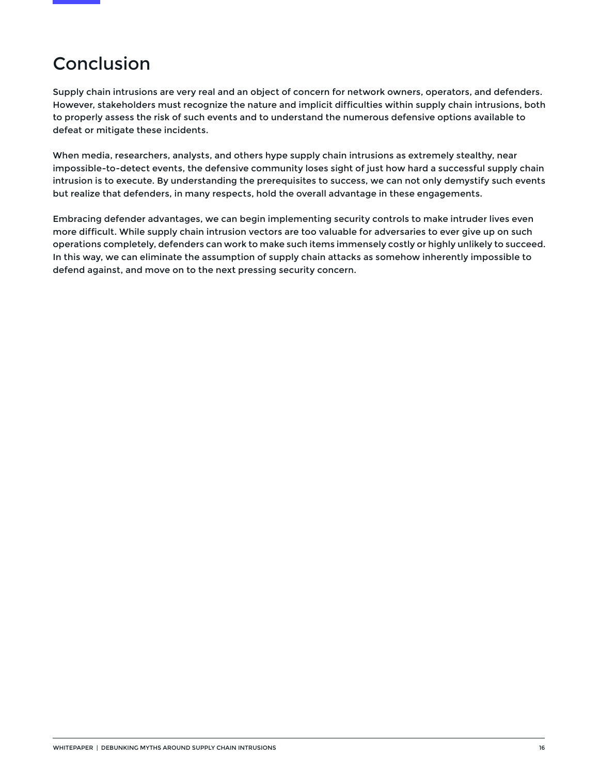### Conclusion

Supply chain intrusions are very real and an object of concern for network owners, operators, and defenders. However, stakeholders must recognize the nature and implicit difficulties within supply chain intrusions, both to properly assess the risk of such events and to understand the numerous defensive options available to defeat or mitigate these incidents.

When media, researchers, analysts, and others hype supply chain intrusions as extremely stealthy, near impossible-to-detect events, the defensive community loses sight of just how hard a successful supply chain intrusion is to execute. By understanding the prerequisites to success, we can not only demystify such events but realize that defenders, in many respects, hold the overall advantage in these engagements.

Embracing defender advantages, we can begin implementing security controls to make intruder lives even more difficult. While supply chain intrusion vectors are too valuable for adversaries to ever give up on such operations completely, defenders can work to make such items immensely costly or highly unlikely to succeed. In this way, we can eliminate the assumption of supply chain attacks as somehow inherently impossible to defend against, and move on to the next pressing security concern.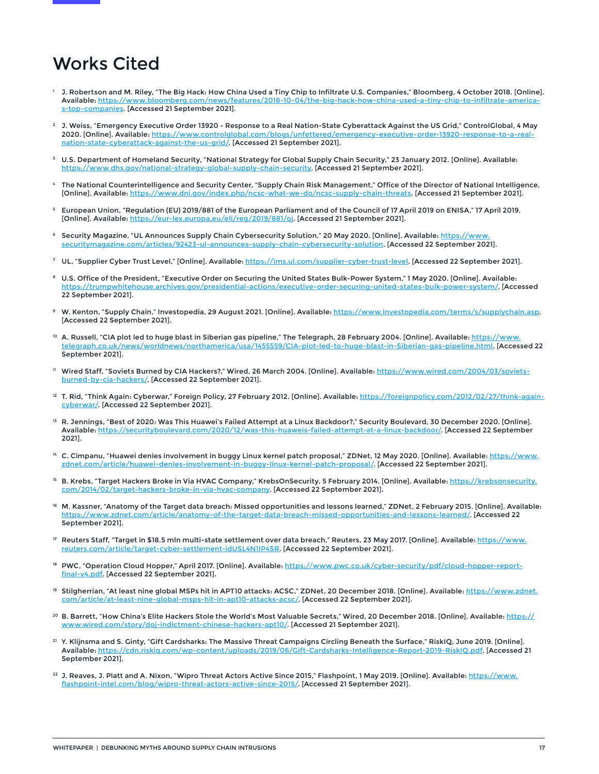### Works Cited

- <sup>1</sup>J. Robertson and M. Riley, "The Big Hack: How China Used a Tiny Chip to Infiltrate U.S. Companies," Bloomberg, 4 October 2018. [Online]. Available: [https://www.bloomberg.com/news/features/2018-10-04/the-big-hack-how-china-used-a-tiny-chip-to-infiltrate-america](https://www.bloomberg.com/news/features/2018-10-04/the-big-hack-how-china-used-a-tiny-chip-to-infiltrate-america-s-top-companies)[s-top-companies](https://www.bloomberg.com/news/features/2018-10-04/the-big-hack-how-china-used-a-tiny-chip-to-infiltrate-america-s-top-companies). [Accessed 21 September 2021].
- <sup>2</sup> J. Weiss, "Emergency Executive Order 13920 Response to a Real Nation-State Cyberattack Against the US Grid," ControlGlobal, 4 May 2020. [Online]. Available: [https://www.controlglobal.com/blogs/unfettered/emergency-executive-order-13920-response-to-a-real](https://www.controlglobal.com/blogs/unfettered/emergency-executive-order-13920-response-to-a-real-nation-state-cyberattack-against-the-us-grid/)[nation-state-cyberattack-against-the-us-grid/](https://www.controlglobal.com/blogs/unfettered/emergency-executive-order-13920-response-to-a-real-nation-state-cyberattack-against-the-us-grid/). [Accessed 21 September 2021].
- <sup>3</sup> U.S. Department of Homeland Security, "National Strategy for Global Supply Chain Security," 23 January 2012. [Online]. Available: <https://www.dhs.gov/national-strategy-global-supply-chain-security>. [Accessed 21 September 2021].
- <sup>4</sup>The National Counterintelligence and Security Center, "Supply Chain Risk Management," Office of the Director of National Intelligence, [Online]. Available: <https://www.dni.gov/index.php/ncsc-what-we-do/ncsc-supply-chain-threats>. [Accessed 21 September 2021].
- 5 European Union, "Regulation (EU) 2019/881 of the European Parliament and of the Council of 17 April 2019 on ENISA," 17 April 2019. [Online]. Available: <https://eur-lex.europa.eu/eli/reg/2019/881/oj>. [Accessed 21 September 2021].
- <sup>6</sup> Security Magazine, "UL Announces Supply Chain Cybersecurity Solution," 20 May 2020. [Online]. Available: [https://www.](https://www.securitymagazine.com/articles/92423-ul-announces-supply-chain-cybersecurity-solution) [securitymagazine.com/articles/92423-ul-announces-supply-chain-cybersecurity-solution](https://www.securitymagazine.com/articles/92423-ul-announces-supply-chain-cybersecurity-solution). [Accessed 22 September 2021].
- <sup>7</sup> UL, "Supplier Cyber Trust Level," [Online]. Available: <https://ims.ul.com/supplier-cyber-trust-level>. [Accessed 22 September 2021].
- 8 U.S. Office of the President, "Executive Order on Securing the United States Bulk-Power System," 1 May 2020. [Online]. Available: <https://trumpwhitehouse.archives.gov/presidential-actions/executive-order-securing-united-states-bulk-power-system/>. [Accessed 22 September 2021].
- 9 W. Kenton, "Supply Chain," Investopedia, 29 August 2021. [Online]. Available: <https://www.investopedia.com/terms/s/supplychain.asp>. [Accessed 22 September 2021].
- 10 A. Russell, "CIA plot led to huge blast in Siberian gas pipeline," The Telegraph, 28 February 2004. [Online]. Available: [https://www.](https://www.telegraph.co.uk/news/worldnews/northamerica/usa/1455559/CIA-plot-led-to-huge-blast-in-Siberian-gas-pipeline.html) [telegraph.co.uk/news/worldnews/northamerica/usa/1455559/CIA-plot-led-to-huge-blast-in-Siberian-gas-pipeline.html](https://www.telegraph.co.uk/news/worldnews/northamerica/usa/1455559/CIA-plot-led-to-huge-blast-in-Siberian-gas-pipeline.html). [Accessed 22 September 2021].
- <sup>11</sup> Wired Staff, "Soviets Burned by CIA Hackers?," Wired, 26 March 2004. [Online]. Available: [https://www.wired.com/2004/03/soviets](https://www.wired.com/2004/03/soviets-burned-by-cia-hackers/)[burned-by-cia-hackers/](https://www.wired.com/2004/03/soviets-burned-by-cia-hackers/). [Accessed 22 September 2021].
- <sup>12</sup> T. Rid, "Think Again: Cyberwar," Foreign Policy, 27 February 2012. [Online]. Available: [https://foreignpolicy.com/2012/02/27/think-again](https://foreignpolicy.com/2012/02/27/think-again-cyberwar/)[cyberwar/](https://foreignpolicy.com/2012/02/27/think-again-cyberwar/). [Accessed 22 September 2021].
- <sup>13</sup> R. Jennings, "Best of 2020: Was This Huawei's Failed Attempt at a Linux Backdoor?," Security Boulevard, 30 December 2020. [Online]. Available:<https://securityboulevard.com/2020/12/was-this-huaweis-failed-attempt-at-a-linux-backdoor/>. [Accessed 22 September 2021].
- 14 C. Cimpanu, "Huawei denies involvement in buggy Linux kernel patch proposal," ZDNet, 12 May 2020. [Online]. Available: [https://www.](https://www.zdnet.com/article/huawei-denies-involvement-in-buggy-linux-kernel-patch-proposal/) [zdnet.com/article/huawei-denies-involvement-in-buggy-linux-kernel-patch-proposal/](https://www.zdnet.com/article/huawei-denies-involvement-in-buggy-linux-kernel-patch-proposal/). [Accessed 22 September 2021].
- <sup>15</sup> B. Krebs, "Target Hackers Broke in Via HVAC Company," KrebsOnSecurity, 5 February 2014. [Online]. Available: [https://krebsonsecurity.](https://krebsonsecurity.com/2014/02/target-hackers-broke-in-via-hvac-company) [com/2014/02/target-hackers-broke-in-via-hvac-company](https://krebsonsecurity.com/2014/02/target-hackers-broke-in-via-hvac-company). [Accessed 22 September 2021].
- <sup>16</sup> M. Kassner, "Anatomy of the Target data breach: Missed opportunities and lessons learned," ZDNet, 2 February 2015. [Online]. Available: <https://www.zdnet.com/article/anatomy-of-the-target-data-breach-missed-opportunities-and-lessons-learned/>. [Accessed 22 September 2021].
- <sup>17</sup> Reuters Staff, "Target in \$18.5 mln multi-state settlement over data breach," Reuters, 23 May 2017. [Online]. Available: [https://www.](https://www.reuters.com/article/target-cyber-settlement-idUSL4N1IP4SR) [reuters.com/article/target-cyber-settlement-idUSL4N1IP4SR](https://www.reuters.com/article/target-cyber-settlement-idUSL4N1IP4SR). [Accessed 22 September 2021].
- 18 PWC, "Operation Cloud Hopper," April 2017. [Online]. Available: [https://www.pwc.co.uk/cyber-security/pdf/cloud-hopper-report](https://www.pwc.co.uk/cyber-security/pdf/cloud-hopper-report-final-v4.pdf)[final-v4.pdf.](https://www.pwc.co.uk/cyber-security/pdf/cloud-hopper-report-final-v4.pdf) [Accessed 22 September 2021].
- <sup>19</sup> Stilgherrian, "At least nine global MSPs hit in APT10 attacks: ACSC," ZDNet, 20 December 2018. [Online]. Available: [https://www.zdnet.](https://www.zdnet.com/article/at-least-nine-global-msps-hit-in-apt10-attacks-acsc/) [com/article/at-least-nine-global-msps-hit-in-apt10-attacks-acsc/](https://www.zdnet.com/article/at-least-nine-global-msps-hit-in-apt10-attacks-acsc/). [Accessed 22 September 2021].
- <sup>20</sup> B. Barrett, "How China's Elite Hackers Stole the World's Most Valuable Secrets," Wired, 20 December 2018. [Online]. Available: [https://](https://www.wired.com/story/doj-indictment-chinese-hackers-apt10/) [www.wired.com/story/doj-indictment-chinese-hackers-apt10/](https://www.wired.com/story/doj-indictment-chinese-hackers-apt10/). [Accessed 21 September 2021].
- <sup>21</sup> Y. Klijnsma and S. Ginty, "Gift Cardsharks: The Massive Threat Campaigns Circling Beneath the Surface," RiskIQ, June 2019. [Online]. Available:<https://cdn.riskiq.com/wp-content/uploads/2019/06/Gift-Cardsharks-Intelligence-Report-2019-RiskIQ.pdf>. [Accessed 21 September 2021].
- <sup>22</sup> J. Reaves, J. Platt and A. Nixon, "Wipro Threat Actors Active Since 2015," Flashpoint, 1 May 2019. [Online]. Available: [https://www.](https://www.flashpoint-intel.com/blog/wipro-threat-actors-active-since-2015/) [flashpoint-intel.com/blog/wipro-threat-actors-active-since-2015/.](https://www.flashpoint-intel.com/blog/wipro-threat-actors-active-since-2015/) [Accessed 21 September 2021].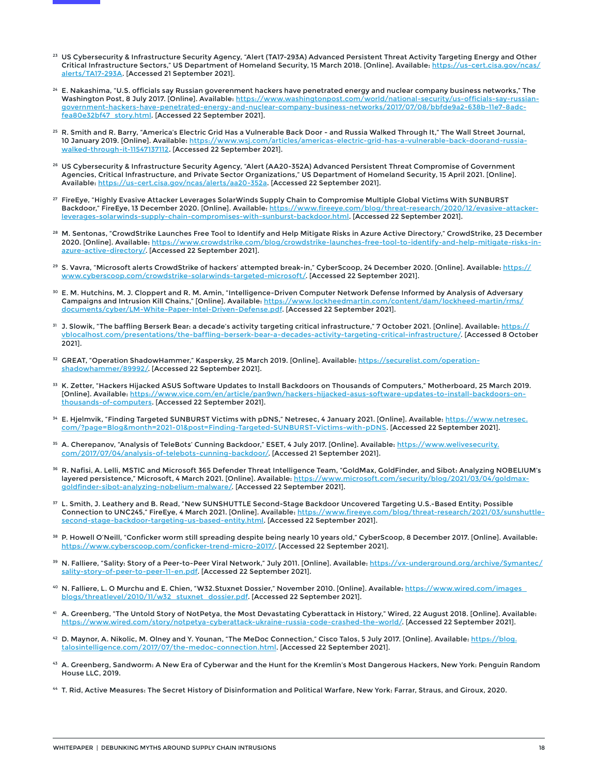- 23 US Cybersecurity & Infrastructure Security Agency, "Alert (TA17-293A) Advanced Persistent Threat Activity Targeting Energy and Other Critical Infrastructure Sectors," US Department of Homeland Security, 15 March 2018. [Online]. Available: [https://us-cert.cisa.gov/ncas/](https://us-cert.cisa.gov/ncas/alerts/TA17-293A) [alerts/TA17-293A](https://us-cert.cisa.gov/ncas/alerts/TA17-293A). [Accessed 21 September 2021].
- <sup>24</sup> E. Nakashima, "U.S. officials say Russian goverenment hackers have penetrated energy and nuclear company business networks," The Washington Post, 8 July 2017. [Online]. Available: [https://www.washingtonpost.com/world/national-security/us-officials-say-russian](https://www.washingtonpost.com/world/national-security/us-officials-say-russian-government-hackers-have-penetrated-energy-and-nuclear-company-business-networks/2017/07/08/bbfde9a2-638b-11e7-8adc-fea80e32bf47_story.html)[government-hackers-have-penetrated-energy-and-nuclear-company-business-networks/2017/07/08/bbfde9a2-638b-11e7-8adc](https://www.washingtonpost.com/world/national-security/us-officials-say-russian-government-hackers-have-penetrated-energy-and-nuclear-company-business-networks/2017/07/08/bbfde9a2-638b-11e7-8adc-fea80e32bf47_story.html)[fea80e32bf47\\_story.html](https://www.washingtonpost.com/world/national-security/us-officials-say-russian-government-hackers-have-penetrated-energy-and-nuclear-company-business-networks/2017/07/08/bbfde9a2-638b-11e7-8adc-fea80e32bf47_story.html). [Accessed 22 September 2021].
- <sup>25</sup> R. Smith and R. Barry, "America's Electric Grid Has a Vulnerable Back Door and Russia Walked Through It," The Wall Street Journal, 10 January 2019. [Online]. Available: [https://www.wsj.com/articles/americas-electric-grid-has-a-vulnerable-back-doorand-russia](https://www.wsj.com/articles/americas-electric-grid-has-a-vulnerable-back-doorand-russia-walked-through-it-11547137112)[walked-through-it-11547137112](https://www.wsj.com/articles/americas-electric-grid-has-a-vulnerable-back-doorand-russia-walked-through-it-11547137112). [Accessed 22 September 2021].
- 26 US Cybersecurity & Infrastructure Security Agency, "Alert (AA20-352A) Advanced Persistent Threat Compromise of Government Agencies, Critical Infrastructure, and Private Sector Organizations," US Department of Homeland Security, 15 April 2021. [Online]. Available:<https://us-cert.cisa.gov/ncas/alerts/aa20-352a>. [Accessed 22 September 2021].
- <sup>27</sup> FireEye, "Highly Evasive Attacker Leverages SolarWinds Supply Chain to Compromise Multiple Global Victims With SUNBURST Backdoor," FireEye, 13 December 2020. [Online]. Available: [https://www.fireeye.com/blog/threat-research/2020/12/evasive-attacker](https://www.fireeye.com/blog/threat-research/2020/12/evasive-attacker-leverages-solarwinds-supply-chain-compromises-with-sunburst-backdoor.html)[leverages-solarwinds-supply-chain-compromises-with-sunburst-backdoor.html](https://www.fireeye.com/blog/threat-research/2020/12/evasive-attacker-leverages-solarwinds-supply-chain-compromises-with-sunburst-backdoor.html). [Accessed 22 September 2021].
- 28 M. Sentonas, "CrowdStrike Launches Free Tool to Identify and Help Mitigate Risks in Azure Active Directory," CrowdStrike, 23 December 2020. [Online]. Available: [https://www.crowdstrike.com/blog/crowdstrike-launches-free-tool-to-identify-and-help-mitigate-risks-in](https://www.crowdstrike.com/blog/crowdstrike-launches-free-tool-to-identify-and-help-mitigate-risks-in-azure-active-directory/)[azure-active-directory/](https://www.crowdstrike.com/blog/crowdstrike-launches-free-tool-to-identify-and-help-mitigate-risks-in-azure-active-directory/). [Accessed 22 September 2021].
- <sup>29</sup> S. Vavra, "Microsoft alerts CrowdStrike of hackers' attempted break-in," CyberScoop, 24 December 2020. [Online]. Available: [https://](https://www.cyberscoop.com/crowdstrike-solarwinds-targeted-microsoft/) [www.cyberscoop.com/crowdstrike-solarwinds-targeted-microsoft/](https://www.cyberscoop.com/crowdstrike-solarwinds-targeted-microsoft/). [Accessed 22 September 2021].
- 30 E. M. Hutchins, M. J. Cloppert and R. M. Amin, "Intelligence-Driven Computer Network Defense Informed by Analysis of Adversary Campaigns and Intrusion Kill Chains," [Online]. Available: [https://www.lockheedmartin.com/content/dam/lockheed-martin/rms/](https://www.lockheedmartin.com/content/dam/lockheed-martin/rms/documents/cyber/LM-White-Paper-Intel-Driven-Defense.pdf) [documents/cyber/LM-White-Paper-Intel-Driven-Defense.pdf](https://www.lockheedmartin.com/content/dam/lockheed-martin/rms/documents/cyber/LM-White-Paper-Intel-Driven-Defense.pdf). [Accessed 22 September 2021].
- 31 J. Slowik, "The baffling Berserk Bear: a decade's activity targeting critical infrastructure," 7 October 2021. [Online]. Available: [https://](https://vblocalhost.com/presentations/the-baffling-berserk-bear-a-decades-activity-targeting-critica) [vblocalhost.com/presentations/the-baffling-berserk-bear-a-decades-activity-targeting-critical-infrastructure/](https://vblocalhost.com/presentations/the-baffling-berserk-bear-a-decades-activity-targeting-critica). [Accessed 8 October 2021].
- 32 GREAT, "Operation ShadowHammer," Kaspersky, 25 March 2019. [Online]. Available: [https://securelist.com/operation](https://securelist.com/operation-shadowhammer/89992/)[shadowhammer/89992/](https://securelist.com/operation-shadowhammer/89992/). [Accessed 22 September 2021].
- 33 K. Zetter, "Hackers Hijacked ASUS Software Updates to Install Backdoors on Thousands of Computers," Motherboard, 25 March 2019. [Online]. Available: [https://www.vice.com/en/article/pan9wn/hackers-hijacked-asus-software-updates-to-install-backdoors-on](https://www.vice.com/en/article/pan9wn/hackers-hijacked-asus-software-updates-to-install-backdoors-on-thousands-of-computers)[thousands-of-computers](https://www.vice.com/en/article/pan9wn/hackers-hijacked-asus-software-updates-to-install-backdoors-on-thousands-of-computers). [Accessed 22 September 2021].
- 34 E. Hjelmvik, "Finding Targeted SUNBURST Victims with pDNS," Netresec, 4 January 2021. [Online]. Available: [https://www.netresec.](https://www.netresec.com/?page=Blog&month=2021-01&post=Finding-Targeted-SUNBURST-Victims-with-pDNS) [com/?page=Blog&month=2021-01&post=Finding-Targeted-SUNBURST-Victims-with-pDNS](https://www.netresec.com/?page=Blog&month=2021-01&post=Finding-Targeted-SUNBURST-Victims-with-pDNS). [Accessed 22 September 2021].
- 35 A. Cherepanov, "Analysis of TeleBots' Cunning Backdoor," ESET, 4 July 2017. [Online]. Available: [https://www.welivesecurity.](https://www.welivesecurity.com/2017/07/04/analysis-of-telebots-cunning-backdoor/) [com/2017/07/04/analysis-of-telebots-cunning-backdoor/](https://www.welivesecurity.com/2017/07/04/analysis-of-telebots-cunning-backdoor/). [Accessed 21 September 2021].
- 36 R. Nafisi, A. Lelli, MSTIC and Microsoft 365 Defender Threat Intelligence Team, "GoldMax, GoldFinder, and Sibot: Analyzing NOBELIUM's layered persistence," Microsoft, 4 March 2021. [Online]. Available: [https://www.microsoft.com/security/blog/2021/03/04/goldmax](https://www.microsoft.com/security/blog/2021/03/04/goldmax-goldfinder-sibot-analyzing-nobelium-malwa)[goldfinder-sibot-analyzing-nobelium-malware/.](https://www.microsoft.com/security/blog/2021/03/04/goldmax-goldfinder-sibot-analyzing-nobelium-malwa) [Accessed 22 September 2021].
- 37 L. Smith, J. Leathery and B. Read, "New SUNSHUTTLE Second-Stage Backdoor Uncovered Targeting U.S.-Based Entity; Possible Connection to UNC245," FireEye, 4 March 2021. [Online]. Available: [https://www.fireeye.com/blog/threat-research/2021/03/sunshuttle](https://www.fireeye.com/blog/threat-research/2021/03/sunshuttle-second-stage-backdoor-targeting-us-based-entity.html)[second-stage-backdoor-targeting-us-based-entity.html](https://www.fireeye.com/blog/threat-research/2021/03/sunshuttle-second-stage-backdoor-targeting-us-based-entity.html). [Accessed 22 September 2021].
- 38 P. Howell O'Neill, "Conficker worm still spreading despite being nearly 10 years old," CyberScoop, 8 December 2017. [Online]. Available: [https://www.cyberscoop.com/conficker-trend-micro-2017/.](https://www.cyberscoop.com/conficker-trend-micro-2017/) [Accessed 22 September 2021].
- 39 N. Falliere, "Sality: Story of a Peer-to-Peer Viral Network," July 2011. [Online]. Available: [https://vx-underground.org/archive/Symantec/](https://vx-underground.org/archive/Symantec/sality-story-of-peer-to-peer-11-en.pdf) [sality-story-of-peer-to-peer-11-en.pdf](https://vx-underground.org/archive/Symantec/sality-story-of-peer-to-peer-11-en.pdf). [Accessed 22 September 2021].
- <sup>40</sup> N. Falliere, L. O Murchu and E. Chien, "W32.Stuxnet Dossier," November 2010. [Online]. Available: [https://www.wired.com/images\\_](https://www.wired.com/images_blogs/threatlevel/2010/11/w32_stuxnet_dossier.pdf) [blogs/threatlevel/2010/11/w32\\_stuxnet\\_dossier.pdf](https://www.wired.com/images_blogs/threatlevel/2010/11/w32_stuxnet_dossier.pdf). [Accessed 22 September 2021].
- 41 A. Greenberg, "The Untold Story of NotPetya, the Most Devastating Cyberattack in History," Wired, 22 August 2018. [Online]. Available: <https://www.wired.com/story/notpetya-cyberattack-ukraine-russia-code-crashed-the-world/>. [Accessed 22 September 2021].
- <sup>42</sup> D. Maynor, A. Nikolic, M. Olney and Y. Younan, "The MeDoc Connection," Cisco Talos, 5 July 2017. [Online]. Available: [https://blog.](https://blog.talosintelligence.com/2017/07/the-medoc-connection.html) [talosintelligence.com/2017/07/the-medoc-connection.html](https://blog.talosintelligence.com/2017/07/the-medoc-connection.html). [Accessed 22 September 2021].
- 43 A. Greenberg, Sandworm: A New Era of Cyberwar and the Hunt for the Kremlin's Most Dangerous Hackers, New York: Penguin Random House LLC, 2019.
- 44 T. Rid, Active Measures: The Secret History of Disinformation and Political Warfare, New York: Farrar, Straus, and Giroux, 2020.